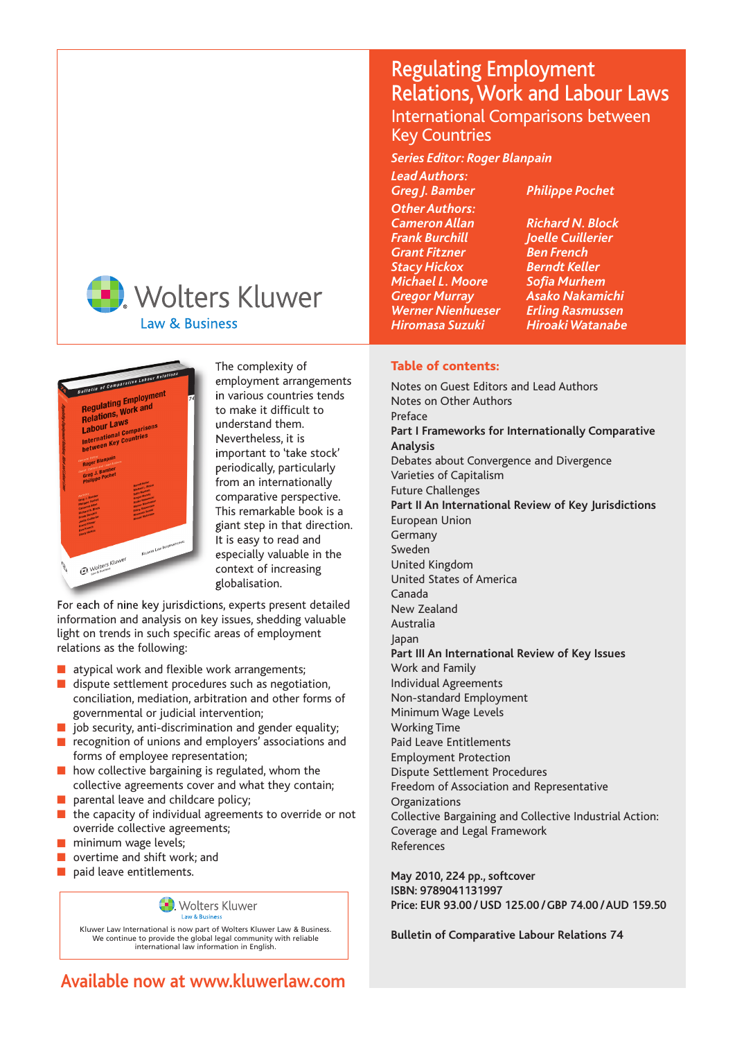



The complexity of employment arrangements in various countries tends to make it difficult to understand them. Nevertheless, it is important to 'take stock' periodically, particularly from an internationally comparative perspective. This remarkable book is a giant step in that direction. It is easy to read and especially valuable in the context of increasing globalisation.

For each of nine key jurisdictions, experts present detailed information and analysis on key issues, shedding valuable light on trends in such specific areas of employment relations as the following:

- atypical work and flexible work arrangements;
- dispute settlement procedures such as negotiation, conciliation, mediation, arbitration and other forms of governmental or judicial intervention;
- $\blacksquare$  job security, anti-discrimination and gender equality;
- recognition of unions and employers' associations and forms of employee representation;
- how collective bargaining is regulated, whom the collective agreements cover and what they contain;
- parental leave and childcare policy;
- the capacity of individual agreements to override or not override collective agreements;
- minimum wage levels;
- overtime and shift work; and
- paid leave entitlements.

**Wolters Kluwer** 

Kluwer Law International is now part of Wolters Kluwer Law & Business. We continue to provide the global legal community with reliable international law information in English.

# Regulating Employment Relations, Work and Labour Laws International Comparisons between Key Countries

*Series Editor: Roger Blanpain*

*Lead Authors: Greg J. Bamber Philippe Pochet Other Authors: Cameron Allan Richard N. Block Grant Fitzner Ben French Stacy Hickox Michael L. Moore Sofia Murhem Werner Nienhueser*<br>Hiromasa Suzuki

*Frank Burchill Joelle Cuillerier Gregor Murray Asako Nakamichi Hiromasa Suzuki Hiroaki Watanabe* 

### **Table of contents:**

Notes on Guest Editors and Lead Authors Notes on Other Authors **Preface Part I Frameworks for Internationally Comparative Analysis**  Debates about Convergence and Divergence Varieties of Capitalism Future Challenges **Part II An International Review of Key Jurisdictions**  European Union Germany Sweden United Kingdom United States of America Canada New Zealand Australia Japan **Part III An International Review of Key Issues**  Work and Family Individual Agreements Non-standard Employment Minimum Wage Levels Working Time Paid Leave Entitlements Employment Protection Dispute Settlement Procedures Freedom of Association and Representative **Organizations** Collective Bargaining and Collective Industrial Action: Coverage and Legal Framework References

**May 2010, 224 pp., softcover ISBN: 9789041131997 Price: EUR 93.00 / USD 125.00 /GBP 74.00 /AUD 159.50**

**Bulletin of Comparative Labour Relations 74**

**Available now at www.kluwerlaw.com**